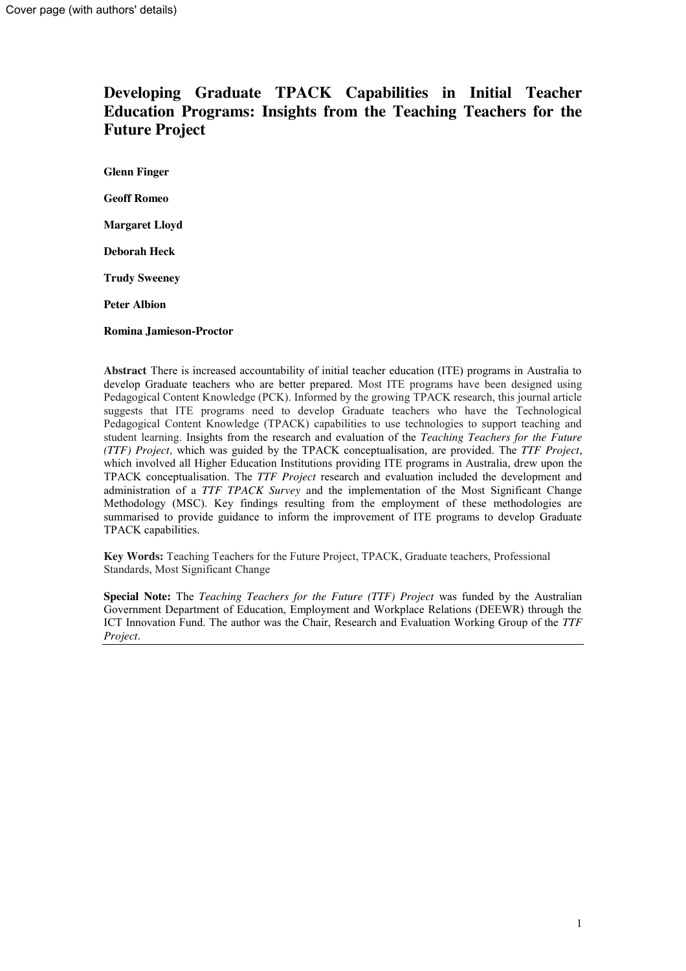# **Developing Graduate TPACK Capabilities in Initial Teacher Education Programs: Insights from the Teaching Teachers for the Future Project**

**Glenn Finger Geoff Romeo Margaret Lloyd Deborah Heck Trudy Sweeney Peter Albion Romina Jamieson-Proctor**

**Abstract** There is increased accountability of initial teacher education (ITE) programs in Australia to develop Graduate teachers who are better prepared. Most ITE programs have been designed using Pedagogical Content Knowledge (PCK). Informed by the growing TPACK research, this journal article suggests that ITE programs need to develop Graduate teachers who have the Technological Pedagogical Content Knowledge (TPACK) capabilities to use technologies to support teaching and student learning. Insights from the research and evaluation of the *Teaching Teachers for the Future (TTF) Project,* which was guided by the TPACK conceptualisation, are provided. The *TTF Project*, which involved all Higher Education Institutions providing ITE programs in Australia, drew upon the TPACK conceptualisation. The *TTF Project* research and evaluation included the development and administration of a *TTF TPACK Survey* and the implementation of the Most Significant Change Methodology (MSC). Key findings resulting from the employment of these methodologies are summarised to provide guidance to inform the improvement of ITE programs to develop Graduate TPACK capabilities.

**Key Words:** Teaching Teachers for the Future Project, TPACK, Graduate teachers, Professional Standards, Most Significant Change

**Special Note:** The *Teaching Teachers for the Future (TTF) Project* was funded by the Australian Government Department of Education, Employment and Workplace Relations (DEEWR) through the ICT Innovation Fund. The author was the Chair, Research and Evaluation Working Group of the *TTF Project*.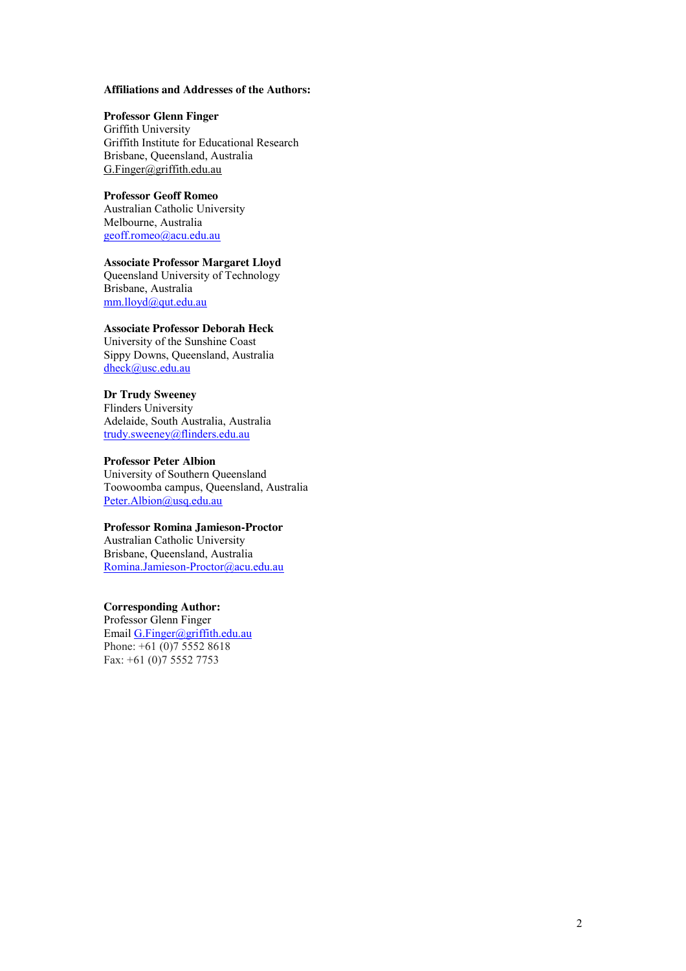#### **Affiliations and Addresses of the Authors:**

### **Professor Glenn Finger**

Griffith University Griffith Institute for Educational Research Brisbane, Queensland, Australia [G.Finger@griffith.edu.au](mailto:G.Finger@griffith.edu.au)

#### **Professor Geoff Romeo**

Australian Catholic University Melbourne, Australia [geoff.romeo@acu.edu.au](mailto:geoff.romeo@acu.edu.au)

#### **Associate Professor Margaret Lloyd**

Queensland University of Technology Brisbane, Australia [mm.lloyd@qut.edu.au](mailto:mm.lloyd@qut.edu.au)

## **Associate Professor Deborah Heck**

University of the Sunshine Coast Sippy Downs, Queensland, Australia [dheck@usc.edu.au](mailto:dheck@usc.edu.au)

#### **Dr Trudy Sweeney**

Flinders University Adelaide, South Australia, Australia [trudy.sweeney@flinders.edu.au](mailto:trudy.sweeney@flinders.edu.au)

## **Professor Peter Albion**

University of Southern Queensland Toowoomba campus, Queensland, Australia [Peter.Albion@usq.edu.au](mailto:Peter.Albion@usq.edu.au)

## **Professor Romina Jamieson-Proctor**

Australian Catholic University Brisbane, Queensland, Australia [Romina.Jamieson-Proctor@acu.edu.au](mailto:Romina.Jamieson-Proctor@acu.edu.au)

#### **Corresponding Author:**  Professor Glenn Finger Email [G.Finger@griffith.edu.au](mailto:G.Finger@griffith.edu.au) Phone: +61 (0)7 5552 8618 Fax: +61 (0)7 5552 7753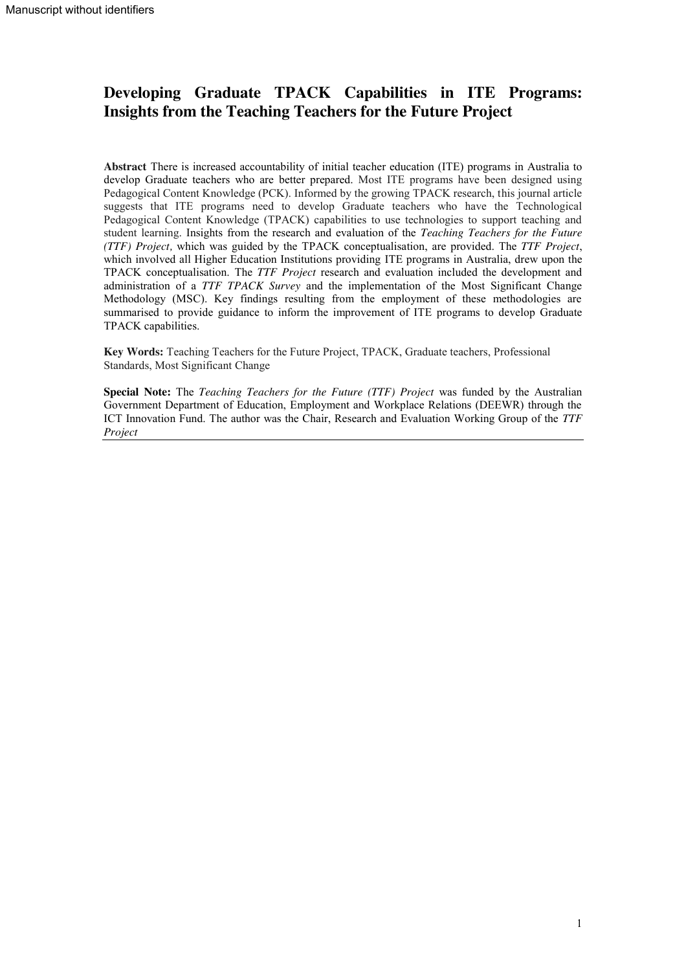# **Developing Graduate TPACK Capabilities in ITE Programs: Insights from the Teaching Teachers for the Future Project**

**Abstract** There is increased accountability of initial teacher education (ITE) programs in Australia to develop Graduate teachers who are better prepared. Most ITE programs have been designed using Pedagogical Content Knowledge (PCK). Informed by the growing TPACK research, this journal article suggests that ITE programs need to develop Graduate teachers who have the Technological Pedagogical Content Knowledge (TPACK) capabilities to use technologies to support teaching and student learning. Insights from the research and evaluation of the *Teaching Teachers for the Future (TTF) Project,* which was guided by the TPACK conceptualisation, are provided. The *TTF Project*, which involved all Higher Education Institutions providing ITE programs in Australia, drew upon the TPACK conceptualisation. The *TTF Project* research and evaluation included the development and administration of a *TTF TPACK Survey* and the implementation of the Most Significant Change Methodology (MSC). Key findings resulting from the employment of these methodologies are summarised to provide guidance to inform the improvement of ITE programs to develop Graduate TPACK capabilities.

**Key Words:** Teaching Teachers for the Future Project, TPACK, Graduate teachers, Professional Standards, Most Significant Change

**Special Note:** The *Teaching Teachers for the Future (TTF) Project* was funded by the Australian Government Department of Education, Employment and Workplace Relations (DEEWR) through the ICT Innovation Fund. The author was the Chair, Research and Evaluation Working Group of the *TTF Project*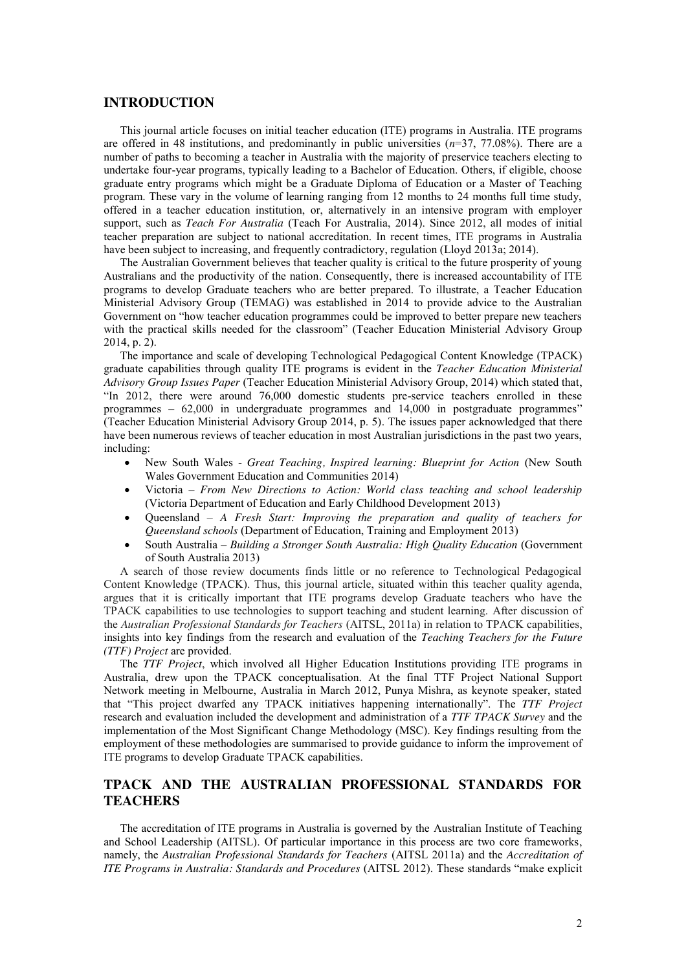### **INTRODUCTION**

This journal article focuses on initial teacher education (ITE) programs in Australia. ITE programs are offered in 48 institutions, and predominantly in public universities (*n*=37, 77.08%). There are a number of paths to becoming a teacher in Australia with the majority of preservice teachers electing to undertake four-year programs, typically leading to a Bachelor of Education. Others, if eligible, choose graduate entry programs which might be a Graduate Diploma of Education or a Master of Teaching program. These vary in the volume of learning ranging from 12 months to 24 months full time study, offered in a teacher education institution, or, alternatively in an intensive program with employer support, such as *Teach For Australia* (Teach For Australia, 2014). Since 2012, all modes of initial teacher preparation are subject to national accreditation. In recent times, ITE programs in Australia have been subject to increasing, and frequently contradictory, regulation (Lloyd 2013a; 2014).

The Australian Government believes that teacher quality is critical to the future prosperity of young Australians and the productivity of the nation. Consequently, there is increased accountability of ITE programs to develop Graduate teachers who are better prepared. To illustrate, a Teacher Education Ministerial Advisory Group (TEMAG) was established in 2014 to provide advice to the Australian Government on "how teacher education programmes could be improved to better prepare new teachers with the practical skills needed for the classroom" (Teacher Education Ministerial Advisory Group 2014, p. 2).

The importance and scale of developing Technological Pedagogical Content Knowledge (TPACK) graduate capabilities through quality ITE programs is evident in the *Teacher Education Ministerial Advisory Group Issues Paper* (Teacher Education Ministerial Advisory Group, 2014) which stated that, "In 2012, there were around 76,000 domestic students pre-service teachers enrolled in these programmes – 62,000 in undergraduate programmes and 14,000 in postgraduate programmes" (Teacher Education Ministerial Advisory Group 2014, p. 5). The issues paper acknowledged that there have been numerous reviews of teacher education in most Australian jurisdictions in the past two years, including:

- x New South Wales *Great Teaching, Inspired learning: Blueprint for Action* (New South Wales Government Education and Communities 2014)
- x Victoria *From New Directions to Action: World class teaching and school leadership* (Victoria Department of Education and Early Childhood Development 2013)
- x Queensland *A Fresh Start: Improving the preparation and quality of teachers for Queensland schools* (Department of Education, Training and Employment 2013)
- x South Australia *Building a Stronger South Australia: High Quality Education* (Government of South Australia 2013)

A search of those review documents finds little or no reference to Technological Pedagogical Content Knowledge (TPACK). Thus, this journal article, situated within this teacher quality agenda, argues that it is critically important that ITE programs develop Graduate teachers who have the TPACK capabilities to use technologies to support teaching and student learning. After discussion of the *Australian Professional Standards for Teachers* (AITSL, 2011a) in relation to TPACK capabilities, insights into key findings from the research and evaluation of the *Teaching Teachers for the Future (TTF) Project* are provided.

The *TTF Project*, which involved all Higher Education Institutions providing ITE programs in Australia, drew upon the TPACK conceptualisation. At the final TTF Project National Support Network meeting in Melbourne, Australia in March 2012, Punya Mishra, as keynote speaker, stated that "This project dwarfed any TPACK initiatives happening internationally". The *TTF Project* research and evaluation included the development and administration of a *TTF TPACK Survey* and the implementation of the Most Significant Change Methodology (MSC). Key findings resulting from the employment of these methodologies are summarised to provide guidance to inform the improvement of ITE programs to develop Graduate TPACK capabilities.

## **TPACK AND THE AUSTRALIAN PROFESSIONAL STANDARDS FOR TEACHERS**

The accreditation of ITE programs in Australia is governed by the Australian Institute of Teaching and School Leadership (AITSL). Of particular importance in this process are two core frameworks, namely, the *Australian Professional Standards for Teachers* (AITSL 2011a) and the *Accreditation of ITE Programs in Australia: Standards and Procedures* (AITSL 2012). These standards "make explicit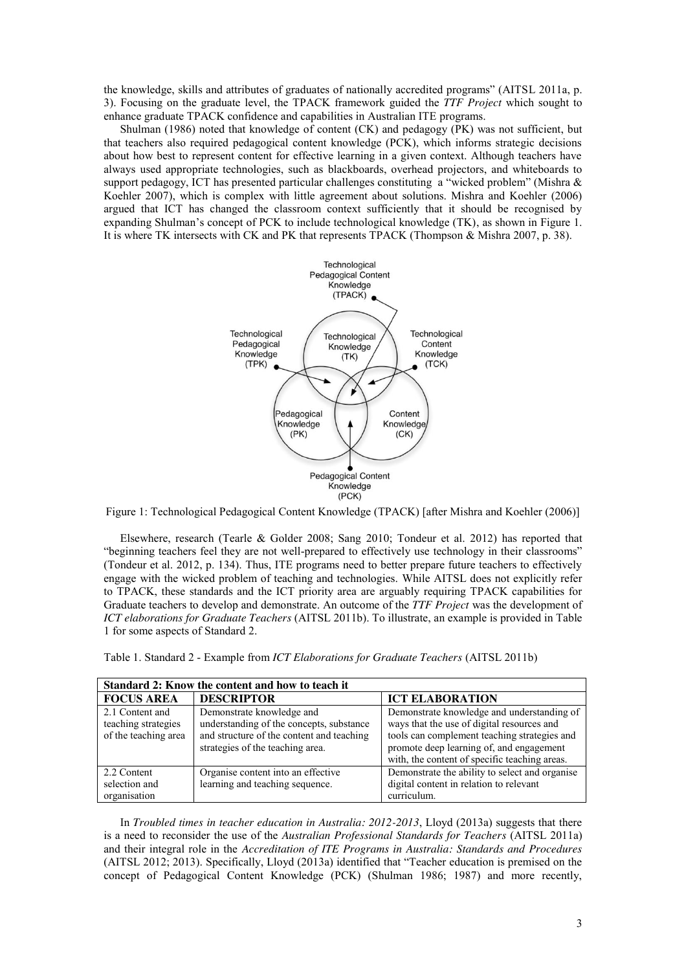the knowledge, skills and attributes of graduates of nationally accredited programs" (AITSL 2011a, p. 3). Focusing on the graduate level, the TPACK framework guided the *TTF Project* which sought to enhance graduate TPACK confidence and capabilities in Australian ITE programs.

Shulman (1986) noted that knowledge of content (CK) and pedagogy (PK) was not sufficient, but that teachers also required pedagogical content knowledge (PCK), which informs strategic decisions about how best to represent content for effective learning in a given context. Although teachers have always used appropriate technologies, such as blackboards, overhead projectors, and whiteboards to support pedagogy, ICT has presented particular challenges constituting a "wicked problem" (Mishra & Koehler 2007), which is complex with little agreement about solutions. Mishra and Koehler (2006) argued that ICT has changed the classroom context sufficiently that it should be recognised by expanding Shulman's concept of PCK to include technological knowledge (TK), as shown in Figure 1. It is where TK intersects with CK and PK that represents TPACK (Thompson & Mishra 2007, p. 38).



Figure 1: Technological Pedagogical Content Knowledge (TPACK) [after Mishra and Koehler (2006)]

Elsewhere, research (Tearle & Golder 2008; Sang 2010; Tondeur et al. 2012) has reported that "beginning teachers feel they are not well-prepared to effectively use technology in their classrooms" (Tondeur et al. 2012, p. 134). Thus, ITE programs need to better prepare future teachers to effectively engage with the wicked problem of teaching and technologies. While AITSL does not explicitly refer to TPACK, these standards and the ICT priority area are arguably requiring TPACK capabilities for Graduate teachers to develop and demonstrate. An outcome of the *TTF Project* was the development of *ICT elaborations for Graduate Teachers* (AITSL 2011b). To illustrate, an example is provided in Table 1 for some aspects of Standard 2.

| Standard 2: Know the content and how to teach it               |                                                                                                                                                        |                                                                                                                                                                                                                                       |
|----------------------------------------------------------------|--------------------------------------------------------------------------------------------------------------------------------------------------------|---------------------------------------------------------------------------------------------------------------------------------------------------------------------------------------------------------------------------------------|
| <b>FOCUS AREA</b>                                              | <b>DESCRIPTOR</b>                                                                                                                                      | <b>ICT ELABORATION</b>                                                                                                                                                                                                                |
| 2.1 Content and<br>teaching strategies<br>of the teaching area | Demonstrate knowledge and<br>understanding of the concepts, substance<br>and structure of the content and teaching<br>strategies of the teaching area. | Demonstrate knowledge and understanding of<br>ways that the use of digital resources and<br>tools can complement teaching strategies and<br>promote deep learning of, and engagement<br>with, the content of specific teaching areas. |
| 2.2 Content<br>selection and                                   | Organise content into an effective<br>learning and teaching sequence.                                                                                  | Demonstrate the ability to select and organise<br>digital content in relation to relevant                                                                                                                                             |
| organisation                                                   |                                                                                                                                                        | curriculum.                                                                                                                                                                                                                           |

Table 1. Standard 2 - Example from *ICT Elaborations for Graduate Teachers* (AITSL 2011b)

In *Troubled times in teacher education in Australia: 2012-2013*, Lloyd (2013a) suggests that there is a need to reconsider the use of the *Australian Professional Standards for Teachers* (AITSL 2011a) and their integral role in the *Accreditation of ITE Programs in Australia: Standards and Procedures* (AITSL 2012; 2013). Specifically, Lloyd (2013a) identified that "Teacher education is premised on the concept of Pedagogical Content Knowledge (PCK) (Shulman 1986; 1987) and more recently,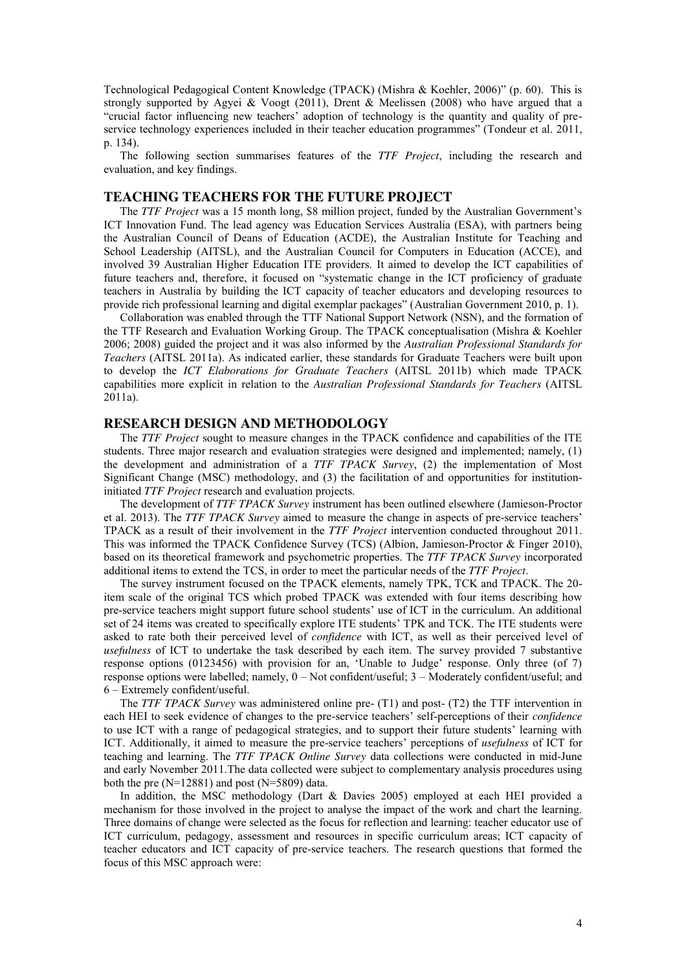Technological Pedagogical Content Knowledge (TPACK) (Mishra & Koehler, 2006)" (p. 60). This is strongly supported by Agyei & Voogt (2011), Drent & Meelissen (2008) who have argued that a "crucial factor influencing new teachers' adoption of technology is the quantity and quality of preservice technology experiences included in their teacher education programmes" (Tondeur et al. 2011, p. 134).

The following section summarises features of the *TTF Project*, including the research and evaluation, and key findings.

### **TEACHING TEACHERS FOR THE FUTURE PROJECT**

The *TTF Project* was a 15 month long, \$8 million project, funded by the Australian Government's ICT Innovation Fund. The lead agency was Education Services Australia (ESA), with partners being the Australian Council of Deans of Education (ACDE), the Australian Institute for Teaching and School Leadership (AITSL), and the Australian Council for Computers in Education (ACCE), and involved 39 Australian Higher Education ITE providers. It aimed to develop the ICT capabilities of future teachers and, therefore, it focused on "systematic change in the ICT proficiency of graduate teachers in Australia by building the ICT capacity of teacher educators and developing resources to provide rich professional learning and digital exemplar packages" (Australian Government 2010, p. 1).

Collaboration was enabled through the TTF National Support Network (NSN), and the formation of the TTF Research and Evaluation Working Group. The TPACK conceptualisation (Mishra & Koehler 2006; 2008) guided the project and it was also informed by the *Australian Professional Standards for Teachers* (AITSL 2011a). As indicated earlier, these standards for Graduate Teachers were built upon to develop the *ICT Elaborations for Graduate Teachers* (AITSL 2011b) which made TPACK capabilities more explicit in relation to the *Australian Professional Standards for Teachers* (AITSL 2011a).

#### **RESEARCH DESIGN AND METHODOLOGY**

The *TTF Project* sought to measure changes in the TPACK confidence and capabilities of the ITE students. Three major research and evaluation strategies were designed and implemented; namely, (1) the development and administration of a *TTF TPACK Survey*, (2) the implementation of Most Significant Change (MSC) methodology, and (3) the facilitation of and opportunities for institutioninitiated *TTF Project* research and evaluation projects.

The development of *TTF TPACK Survey* instrument has been outlined elsewhere (Jamieson-Proctor et al. 2013). The *TTF TPACK Survey* aimed to measure the change in aspects of pre-service teachers' TPACK as a result of their involvement in the *TTF Project* intervention conducted throughout 2011. This was informed the TPACK Confidence Survey (TCS) (Albion, Jamieson-Proctor & Finger 2010), based on its theoretical framework and psychometric properties. The *TTF TPACK Survey* incorporated additional items to extend the TCS, in order to meet the particular needs of the *TTF Project*.

The survey instrument focused on the TPACK elements, namely TPK, TCK and TPACK. The 20 item scale of the original TCS which probed TPACK was extended with four items describing how pre-service teachers might support future school students' use of ICT in the curriculum. An additional set of 24 items was created to specifically explore ITE students' TPK and TCK. The ITE students were asked to rate both their perceived level of *confidence* with ICT, as well as their perceived level of *usefulness* of ICT to undertake the task described by each item. The survey provided 7 substantive response options (0123456) with provision for an, 'Unable to Judge' response. Only three (of 7) response options were labelled; namely, 0 – Not confident/useful; 3 – Moderately confident/useful; and 6 – Extremely confident/useful.

The *TTF TPACK Survey* was administered online pre- (T1) and post- (T2) the TTF intervention in each HEI to seek evidence of changes to the pre-service teachers' self-perceptions of their *confidence*  to use ICT with a range of pedagogical strategies, and to support their future students' learning with ICT. Additionally, it aimed to measure the pre-service teachers' perceptions of *usefulness* of ICT for teaching and learning. The *TTF TPACK Online Survey* data collections were conducted in mid-June and early November 2011.The data collected were subject to complementary analysis procedures using both the pre (N=12881) and post (N=5809) data.

In addition, the MSC methodology (Dart & Davies 2005) employed at each HEI provided a mechanism for those involved in the project to analyse the impact of the work and chart the learning. Three domains of change were selected as the focus for reflection and learning: teacher educator use of ICT curriculum, pedagogy, assessment and resources in specific curriculum areas; ICT capacity of teacher educators and ICT capacity of pre-service teachers. The research questions that formed the focus of this MSC approach were: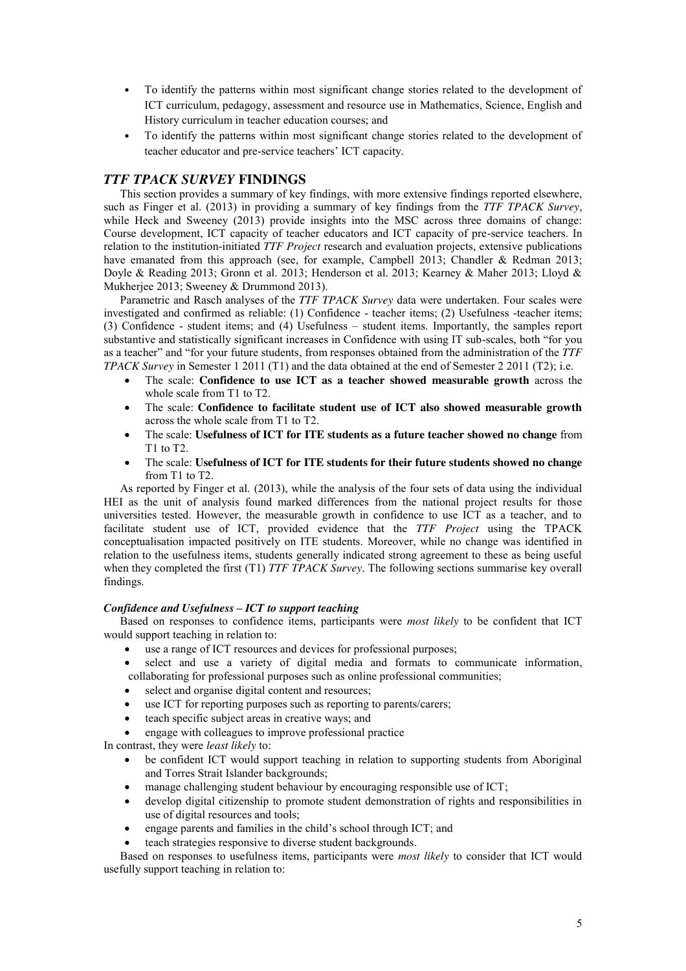- To identify the patterns within most significant change stories related to the development of ICT curriculum, pedagogy, assessment and resource use in Mathematics, Science, English and History curriculum in teacher education courses; and
- To identify the patterns within most significant change stories related to the development of teacher educator and pre-service teachers' ICT capacity.

# *TTF TPACK SURVEY* **FINDINGS**

This section provides a summary of key findings, with more extensive findings reported elsewhere, such as Finger et al. (2013) in providing a summary of key findings from the *TTF TPACK Survey*, while Heck and Sweeney (2013) provide insights into the MSC across three domains of change: Course development, ICT capacity of teacher educators and ICT capacity of pre-service teachers. In relation to the institution-initiated *TTF Project* research and evaluation projects, extensive publications have emanated from this approach (see, for example, Campbell 2013; Chandler & Redman 2013; Doyle & Reading 2013; Gronn et al. 2013; Henderson et al. 2013; Kearney & Maher 2013; Lloyd & Mukherjee 2013; Sweeney & Drummond 2013).

Parametric and Rasch analyses of the *TTF TPACK Survey* data were undertaken. Four scales were investigated and confirmed as reliable: (1) Confidence - teacher items; (2) Usefulness -teacher items; (3) Confidence - student items; and (4) Usefulness – student items. Importantly, the samples report substantive and statistically significant increases in Confidence with using IT sub-scales, both "for you as a teacher" and "for your future students, from responses obtained from the administration of the *TTF TPACK Survey* in Semester 1 2011 (T1) and the data obtained at the end of Semester 2 2011 (T2); i.e.

- x The scale: **Confidence to use ICT as a teacher showed measurable growth** across the whole scale from T1 to T2.
- x The scale: **Confidence to facilitate student use of ICT also showed measurable growth** across the whole scale from T1 to T2.
- x The scale: **Usefulness of ICT for ITE students as a future teacher showed no change** from T1 to T2.
- x The scale: **Usefulness of ICT for ITE students for their future students showed no change** from T1 to T2.

As reported by Finger et al. (2013), while the analysis of the four sets of data using the individual HEI as the unit of analysis found marked differences from the national project results for those universities tested. However, the measurable growth in confidence to use ICT as a teacher, and to facilitate student use of ICT, provided evidence that the *TTF Project* using the TPACK conceptualisation impacted positively on ITE students. Moreover, while no change was identified in relation to the usefulness items, students generally indicated strong agreement to these as being useful when they completed the first (T1) *TTF TPACK Survey*. The following sections summarise key overall findings.

#### *Confidence and Usefulness – ICT to support teaching*

Based on responses to confidence items, participants were *most likely* to be confident that ICT would support teaching in relation to:

- use a range of ICT resources and devices for professional purposes;
- x select and use a variety of digital media and formats to communicate information, collaborating for professional purposes such as online professional communities;
- select and organise digital content and resources;
- use ICT for reporting purposes such as reporting to parents/carers;
- teach specific subject areas in creative ways; and
- engage with colleagues to improve professional practice

In contrast, they were *least likely* to:

- be confident ICT would support teaching in relation to supporting students from Aboriginal and Torres Strait Islander backgrounds;
- manage challenging student behaviour by encouraging responsible use of ICT;
- develop digital citizenship to promote student demonstration of rights and responsibilities in use of digital resources and tools;
- engage parents and families in the child's school through ICT; and
- teach strategies responsive to diverse student backgrounds.

Based on responses to usefulness items, participants were *most likely* to consider that ICT would usefully support teaching in relation to: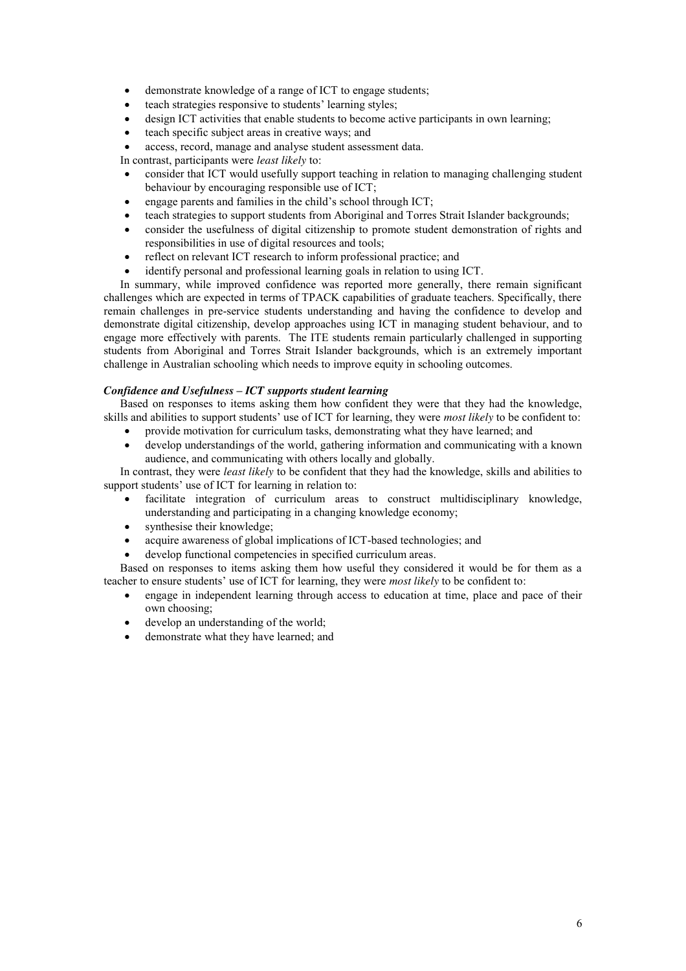- demonstrate knowledge of a range of ICT to engage students;
- teach strategies responsive to students' learning styles;
- design ICT activities that enable students to become active participants in own learning;
- teach specific subject areas in creative ways; and
- access, record, manage and analyse student assessment data.

In contrast, participants were *least likely* to:

- consider that ICT would usefully support teaching in relation to managing challenging student behaviour by encouraging responsible use of ICT;
- engage parents and families in the child's school through ICT;
- teach strategies to support students from Aboriginal and Torres Strait Islander backgrounds;
- consider the usefulness of digital citizenship to promote student demonstration of rights and responsibilities in use of digital resources and tools;
- reflect on relevant ICT research to inform professional practice; and
- identify personal and professional learning goals in relation to using ICT.

In summary, while improved confidence was reported more generally, there remain significant challenges which are expected in terms of TPACK capabilities of graduate teachers. Specifically, there remain challenges in pre-service students understanding and having the confidence to develop and demonstrate digital citizenship, develop approaches using ICT in managing student behaviour, and to engage more effectively with parents. The ITE students remain particularly challenged in supporting students from Aboriginal and Torres Strait Islander backgrounds, which is an extremely important challenge in Australian schooling which needs to improve equity in schooling outcomes.

#### *Confidence and Usefulness – ICT supports student learning*

Based on responses to items asking them how confident they were that they had the knowledge, skills and abilities to support students' use of ICT for learning, they were *most likely* to be confident to:

- provide motivation for curriculum tasks, demonstrating what they have learned; and
- develop understandings of the world, gathering information and communicating with a known audience, and communicating with others locally and globally.

In contrast, they were *least likely* to be confident that they had the knowledge, skills and abilities to support students' use of ICT for learning in relation to:

- facilitate integration of curriculum areas to construct multidisciplinary knowledge, understanding and participating in a changing knowledge economy;
- synthesise their knowledge;
- acquire awareness of global implications of ICT-based technologies; and
- develop functional competencies in specified curriculum areas.

Based on responses to items asking them how useful they considered it would be for them as a teacher to ensure students' use of ICT for learning, they were *most likely* to be confident to:

- engage in independent learning through access to education at time, place and pace of their own choosing;
- develop an understanding of the world;
- demonstrate what they have learned; and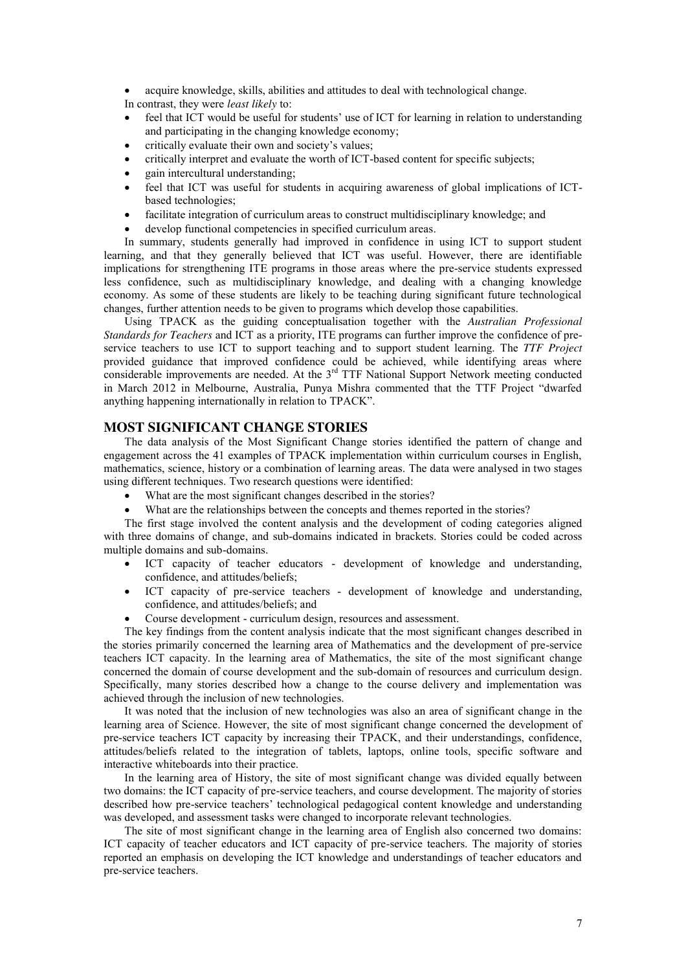acquire knowledge, skills, abilities and attitudes to deal with technological change.

In contrast, they were *least likely* to:

- feel that ICT would be useful for students' use of ICT for learning in relation to understanding and participating in the changing knowledge economy;
- critically evaluate their own and society's values;
- critically interpret and evaluate the worth of ICT-based content for specific subjects;
- gain intercultural understanding;
- feel that ICT was useful for students in acquiring awareness of global implications of ICTbased technologies;
- facilitate integration of curriculum areas to construct multidisciplinary knowledge; and
- develop functional competencies in specified curriculum areas.

In summary, students generally had improved in confidence in using ICT to support student learning, and that they generally believed that ICT was useful. However, there are identifiable implications for strengthening ITE programs in those areas where the pre-service students expressed less confidence, such as multidisciplinary knowledge, and dealing with a changing knowledge economy. As some of these students are likely to be teaching during significant future technological changes, further attention needs to be given to programs which develop those capabilities.

Using TPACK as the guiding conceptualisation together with the *Australian Professional Standards for Teachers* and ICT as a priority, ITE programs can further improve the confidence of preservice teachers to use ICT to support teaching and to support student learning. The *TTF Project* provided guidance that improved confidence could be achieved, while identifying areas where considerable improvements are needed. At the 3<sup>rd</sup> TTF National Support Network meeting conducted in March 2012 in Melbourne, Australia, Punya Mishra commented that the TTF Project "dwarfed anything happening internationally in relation to TPACK".

## **MOST SIGNIFICANT CHANGE STORIES**

The data analysis of the Most Significant Change stories identified the pattern of change and engagement across the 41 examples of TPACK implementation within curriculum courses in English, mathematics, science, history or a combination of learning areas. The data were analysed in two stages using different techniques. Two research questions were identified:

- What are the most significant changes described in the stories?
- What are the relationships between the concepts and themes reported in the stories?

The first stage involved the content analysis and the development of coding categories aligned with three domains of change, and sub-domains indicated in brackets. Stories could be coded across multiple domains and sub-domains.

- ICT capacity of teacher educators development of knowledge and understanding, confidence, and attitudes/beliefs;
- ICT capacity of pre-service teachers development of knowledge and understanding, confidence, and attitudes/beliefs; and
- Course development curriculum design, resources and assessment.

The key findings from the content analysis indicate that the most significant changes described in the stories primarily concerned the learning area of Mathematics and the development of pre-service teachers ICT capacity. In the learning area of Mathematics, the site of the most significant change concerned the domain of course development and the sub-domain of resources and curriculum design. Specifically, many stories described how a change to the course delivery and implementation was achieved through the inclusion of new technologies.

It was noted that the inclusion of new technologies was also an area of significant change in the learning area of Science. However, the site of most significant change concerned the development of pre-service teachers ICT capacity by increasing their TPACK, and their understandings, confidence, attitudes/beliefs related to the integration of tablets, laptops, online tools, specific software and interactive whiteboards into their practice.

In the learning area of History, the site of most significant change was divided equally between two domains: the ICT capacity of pre-service teachers, and course development. The majority of stories described how pre-service teachers' technological pedagogical content knowledge and understanding was developed, and assessment tasks were changed to incorporate relevant technologies.

The site of most significant change in the learning area of English also concerned two domains: ICT capacity of teacher educators and ICT capacity of pre-service teachers. The majority of stories reported an emphasis on developing the ICT knowledge and understandings of teacher educators and pre-service teachers.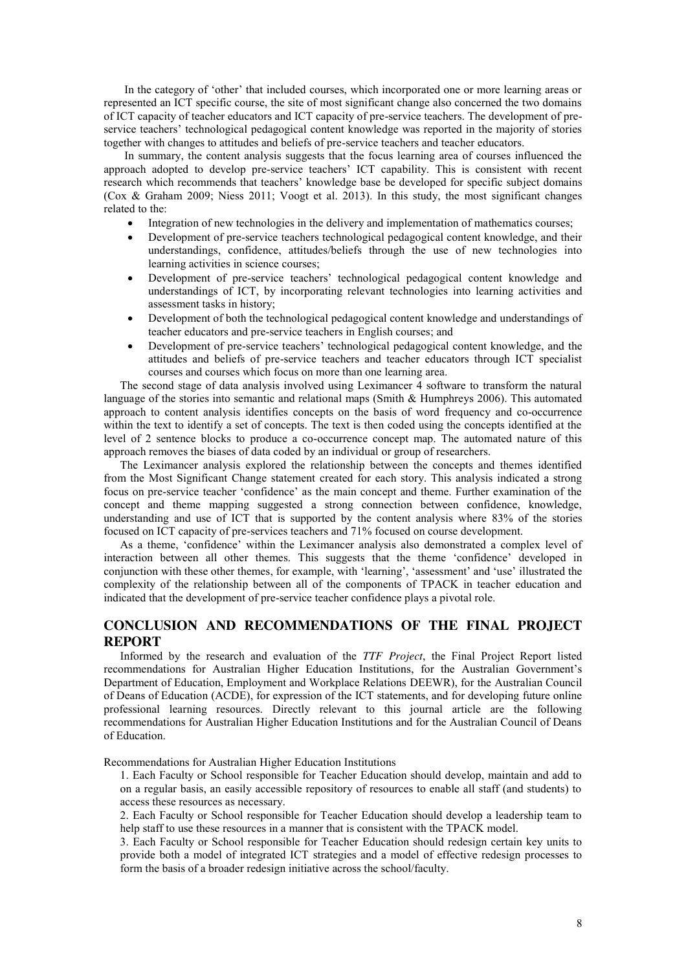In the category of 'other' that included courses, which incorporated one or more learning areas or represented an ICT specific course, the site of most significant change also concerned the two domains of ICT capacity of teacher educators and ICT capacity of pre-service teachers. The development of preservice teachers' technological pedagogical content knowledge was reported in the majority of stories together with changes to attitudes and beliefs of pre-service teachers and teacher educators.

In summary, the content analysis suggests that the focus learning area of courses influenced the approach adopted to develop pre-service teachers' ICT capability. This is consistent with recent research which recommends that teachers' knowledge base be developed for specific subject domains (Cox & Graham 2009; Niess 2011; Voogt et al. 2013). In this study, the most significant changes related to the:

- Integration of new technologies in the delivery and implementation of mathematics courses;
- Development of pre-service teachers technological pedagogical content knowledge, and their understandings, confidence, attitudes/beliefs through the use of new technologies into learning activities in science courses;
- Development of pre-service teachers' technological pedagogical content knowledge and understandings of ICT, by incorporating relevant technologies into learning activities and assessment tasks in history;
- Development of both the technological pedagogical content knowledge and understandings of teacher educators and pre-service teachers in English courses; and
- Development of pre-service teachers' technological pedagogical content knowledge, and the attitudes and beliefs of pre-service teachers and teacher educators through ICT specialist courses and courses which focus on more than one learning area.

The second stage of data analysis involved using Leximancer 4 software to transform the natural language of the stories into semantic and relational maps (Smith & Humphreys 2006). This automated approach to content analysis identifies concepts on the basis of word frequency and co-occurrence within the text to identify a set of concepts. The text is then coded using the concepts identified at the level of 2 sentence blocks to produce a co-occurrence concept map. The automated nature of this approach removes the biases of data coded by an individual or group of researchers.

The Leximancer analysis explored the relationship between the concepts and themes identified from the Most Significant Change statement created for each story. This analysis indicated a strong focus on pre-service teacher 'confidence' as the main concept and theme. Further examination of the concept and theme mapping suggested a strong connection between confidence, knowledge, understanding and use of ICT that is supported by the content analysis where 83% of the stories focused on ICT capacity of pre-services teachers and 71% focused on course development.

As a theme, 'confidence' within the Leximancer analysis also demonstrated a complex level of interaction between all other themes. This suggests that the theme 'confidence' developed in conjunction with these other themes, for example, with 'learning', 'assessment' and 'use' illustrated the complexity of the relationship between all of the components of TPACK in teacher education and indicated that the development of pre-service teacher confidence plays a pivotal role.

# **CONCLUSION AND RECOMMENDATIONS OF THE FINAL PROJECT REPORT**

Informed by the research and evaluation of the *TTF Project*, the Final Project Report listed recommendations for Australian Higher Education Institutions, for the Australian Government's Department of Education, Employment and Workplace Relations DEEWR), for the Australian Council of Deans of Education (ACDE), for expression of the ICT statements, and for developing future online professional learning resources. Directly relevant to this journal article are the following recommendations for Australian Higher Education Institutions and for the Australian Council of Deans of Education.

Recommendations for Australian Higher Education Institutions

1. Each Faculty or School responsible for Teacher Education should develop, maintain and add to on a regular basis, an easily accessible repository of resources to enable all staff (and students) to access these resources as necessary.

2. Each Faculty or School responsible for Teacher Education should develop a leadership team to help staff to use these resources in a manner that is consistent with the TPACK model.

3. Each Faculty or School responsible for Teacher Education should redesign certain key units to provide both a model of integrated ICT strategies and a model of effective redesign processes to form the basis of a broader redesign initiative across the school/faculty.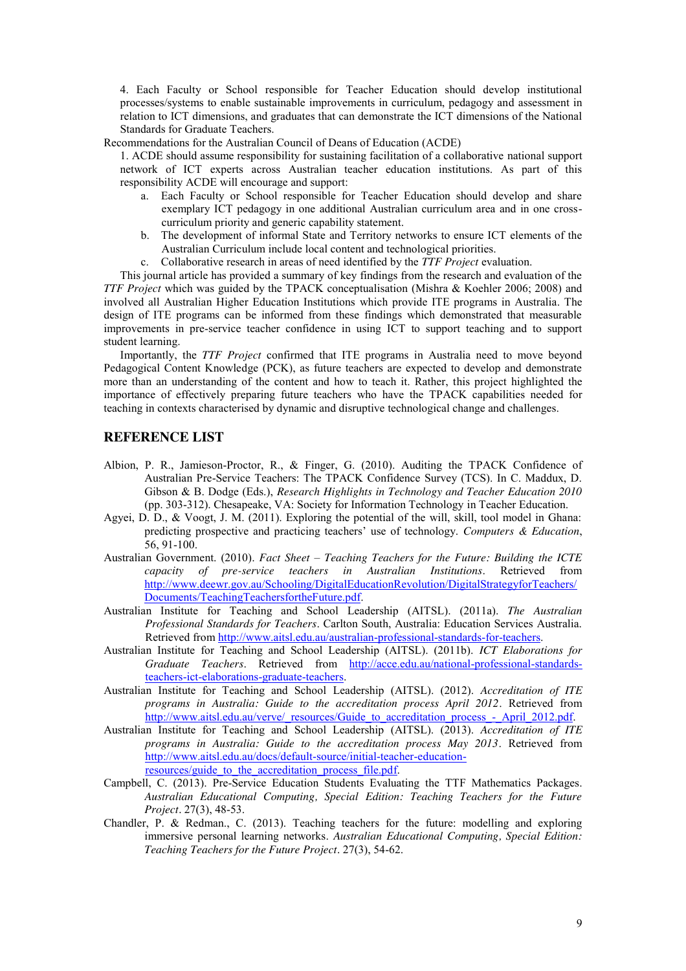4. Each Faculty or School responsible for Teacher Education should develop institutional processes/systems to enable sustainable improvements in curriculum, pedagogy and assessment in relation to ICT dimensions, and graduates that can demonstrate the ICT dimensions of the National Standards for Graduate Teachers.

Recommendations for the Australian Council of Deans of Education (ACDE)

1. ACDE should assume responsibility for sustaining facilitation of a collaborative national support network of ICT experts across Australian teacher education institutions. As part of this responsibility ACDE will encourage and support:

- a. Each Faculty or School responsible for Teacher Education should develop and share exemplary ICT pedagogy in one additional Australian curriculum area and in one crosscurriculum priority and generic capability statement.
- b. The development of informal State and Territory networks to ensure ICT elements of the Australian Curriculum include local content and technological priorities.
- c. Collaborative research in areas of need identified by the *TTF Project* evaluation.

This journal article has provided a summary of key findings from the research and evaluation of the *TTF Project* which was guided by the TPACK conceptualisation (Mishra & Koehler 2006; 2008) and involved all Australian Higher Education Institutions which provide ITE programs in Australia. The design of ITE programs can be informed from these findings which demonstrated that measurable improvements in pre-service teacher confidence in using ICT to support teaching and to support student learning.

Importantly, the *TTF Project* confirmed that ITE programs in Australia need to move beyond Pedagogical Content Knowledge (PCK), as future teachers are expected to develop and demonstrate more than an understanding of the content and how to teach it. Rather, this project highlighted the importance of effectively preparing future teachers who have the TPACK capabilities needed for teaching in contexts characterised by dynamic and disruptive technological change and challenges.

## **REFERENCE LIST**

- Albion, P. R., Jamieson-Proctor, R., & Finger, G. (2010). Auditing the TPACK Confidence of Australian Pre-Service Teachers: The TPACK Confidence Survey (TCS). In C. Maddux, D. Gibson & B. Dodge (Eds.), *Research Highlights in Technology and Teacher Education 2010*  (pp. 303-312). Chesapeake, VA: Society for Information Technology in Teacher Education.
- Agyei, D. D., & Voogt, J. M. (2011). Exploring the potential of the will, skill, tool model in Ghana: predicting prospective and practicing teachers' use of technology. *Computers & Education*, 56, 91-100.
- Australian Government. (2010). *Fact Sheet – Teaching Teachers for the Future: Building the ICTE capacity of pre-service teachers in Australian Institutions*. Retrieved from http://www.deewr.gov.au/Schooling/DigitalEducationRevolution/DigitalStrategyforTeachers/ Documents/TeachingTeachersfortheFuture.pdf.
- Australian Institute for Teaching and School Leadership (AITSL). (2011a). *The Australian Professional Standards for Teachers*. Carlton South, Australia: Education Services Australia. Retrieved from http://www.aitsl.edu.au/australian-professional-standards-for-teachers.
- Australian Institute for Teaching and School Leadership (AITSL). (2011b). *ICT Elaborations for Graduate Teachers*. Retrieved from http://acce.edu.au/national-professional-standardsteachers-ict-elaborations-graduate-teachers.
- Australian Institute for Teaching and School Leadership (AITSL). (2012). *Accreditation of ITE programs in Australia: Guide to the accreditation process April 2012*. Retrieved from http://www.aitsl.edu.au/verve/\_resources/Guide\_to\_accreditation\_process\_-\_April\_2012.pdf.
- Australian Institute for Teaching and School Leadership (AITSL). (2013). *Accreditation of ITE programs in Australia: Guide to the accreditation process May 2013*. Retrieved from http://www.aitsl.edu.au/docs/default-source/initial-teacher-educationresources/guide\_to\_the\_accreditation\_process\_file.pdf.
- Campbell, C. (2013). Pre-Service Education Students Evaluating the TTF Mathematics Packages. *Australian Educational Computing, Special Edition: Teaching Teachers for the Future Project.* 27(3), 48-53.
- Chandler, P. & Redman., C. (2013). Teaching teachers for the future: modelling and exploring immersive personal learning networks. *Australian Educational Computing, Special Edition: Teaching Teachers for the Future Project.* 27(3), 54-62.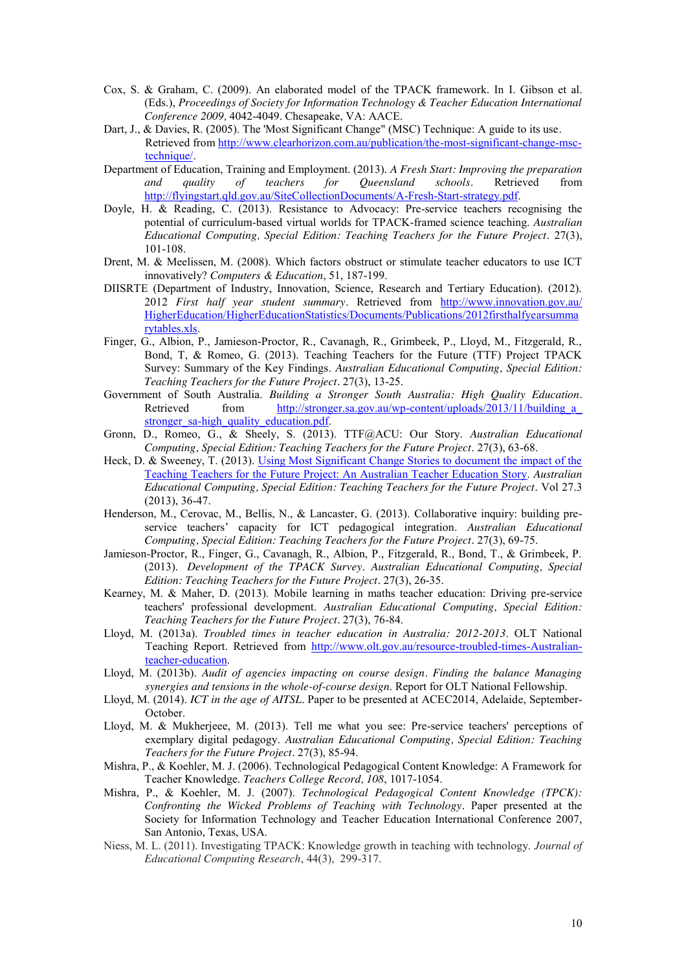- Cox, S. & Graham, C. (2009). An elaborated model of the TPACK framework. In I. Gibson et al. (Eds.), *Proceedings of Society for Information Technology & Teacher Education International Conference 2009,* 4042-4049. Chesapeake, VA: AACE.
- Dart, J., & Davies, R. (2005). The 'Most Significant Change" (MSC) Technique: A guide to its use. Retrieved from http://www.clearhorizon.com.au/publication/the-most-significant-change-msctechnique/.
- Department of Education, Training and Employment. (2013). *A Fresh Start: Improving the preparation and quality of teachers for Queensland schools.* Retrieved from http://flyingstart.qld.gov.au/SiteCollectionDocuments/A-Fresh-Start-strategy.pdf.
- Doyle, H. & Reading, C. (2013). Resistance to Advocacy: Pre-service teachers recognising the potential of curriculum-based virtual worlds for TPACK-framed science teaching. *Australian Educational Computing, Special Edition: Teaching Teachers for the Future Project.* 27(3), 101-108.
- Drent, M. & Meelissen, M. (2008). Which factors obstruct or stimulate teacher educators to use ICT innovatively? *Computers & Education*, 51, 187-199.
- DIISRTE (Department of Industry, Innovation, Science, Research and Tertiary Education). (2012). 2012 *First half year student summary.* Retrieved from http://www.innovation.gov.au/ HigherEducation/HigherEducationStatistics/Documents/Publications/2012firsthalfyearsumma rytables.xls.
- Finger, G., Albion, P., Jamieson-Proctor, R., Cavanagh, R., Grimbeek, P., Lloyd, M., Fitzgerald, R., Bond, T, & Romeo, G. (2013). Teaching Teachers for the Future (TTF) Project TPACK Survey: Summary of the Key Findings. *Australian Educational Computing, Special Edition: Teaching Teachers for the Future Project.* 27(3), 13-25.
- Government of South Australia. *Building a Stronger South Australia: High Quality Education.*  Retrieved from http://stronger.sa.gov.au/wp-content/uploads/2013/11/building a stronger\_sa-high\_quality\_education.pdf.
- Gronn, D., Romeo, G., & Sheely, S. (2013). TTF@ACU: Our Story. *Australian Educational Computing, Special Edition: Teaching Teachers for the Future Project.* 27(3), 63-68.
- Heck, D. & Sweeney, T. (2013). Using Most Significant Change Stories to document the impact of the Teaching Teachers for the Future Project: An Australian Teacher Education Story. *Australian Educational Computing, Special Edition: Teaching Teachers for the Future Project.* Vol 27.3 (2013), 36-47.
- Henderson, M., Cerovac, M., Bellis, N., & Lancaster, G. (2013). Collaborative inquiry: building preservice teachers' capacity for ICT pedagogical integration. *Australian Educational Computing, Special Edition: Teaching Teachers for the Future Project.* 27(3), 69-75.
- Jamieson-Proctor, R., Finger, G., Cavanagh, R., Albion, P., Fitzgerald, R., Bond, T., & Grimbeek, P. (2013). *Development of the TPACK Survey*. *Australian Educational Computing, Special Edition: Teaching Teachers for the Future Project.* 27(3), 26-35.
- Kearney, M. & Maher, D. (2013). Mobile learning in maths teacher education: Driving pre-service teachers' professional development. *Australian Educational Computing, Special Edition: Teaching Teachers for the Future Project.* 27(3), 76-84.
- Lloyd, M. (2013a). *Troubled times in teacher education in Australia: 2012-2013*. OLT National Teaching Report. Retrieved from http://www.olt.gov.au/resource-troubled-times-Australianteacher-education.
- Lloyd, M. (2013b). *Audit of agencies impacting on course design. Finding the balance Managing synergies and tensions in the whole-of-course design*. Report for OLT National Fellowship.
- Lloyd, M. (2014). *ICT in the age of AITSL*. Paper to be presented at ACEC2014, Adelaide, September-October.
- Lloyd, M. & Mukherjeee, M. (2013). Tell me what you see: Pre-service teachers' perceptions of exemplary digital pedagogy. *Australian Educational Computing, Special Edition: Teaching Teachers for the Future Project.* 27(3), 85-94.
- Mishra, P., & Koehler, M. J. (2006). Technological Pedagogical Content Knowledge: A Framework for Teacher Knowledge. *Teachers College Record, 108*, 1017-1054.
- Mishra, P., & Koehler, M. J. (2007). *Technological Pedagogical Content Knowledge (TPCK): Confronting the Wicked Problems of Teaching with Technology.* Paper presented at the Society for Information Technology and Teacher Education International Conference 2007, San Antonio, Texas, USA.
- Niess, M. L. (2011). Investigating TPACK: Knowledge growth in teaching with technology. *Journal of Educational Computing Research*, 44(3), 299-317.